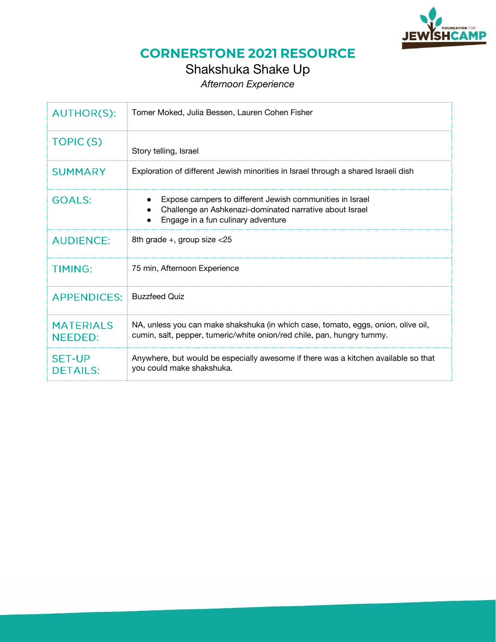

# Shakshuka Shake Up

*Afternoon Experience* 

| <b>AUTHOR(S):</b>                  | Tomer Moked, Julia Bessen, Lauren Cohen Fisher                                                                                                              |
|------------------------------------|-------------------------------------------------------------------------------------------------------------------------------------------------------------|
| TOPIC(S)                           | Story telling, Israel                                                                                                                                       |
| <b>SUMMARY</b>                     | Exploration of different Jewish minorities in Israel through a shared Israeli dish                                                                          |
| <b>GOALS:</b>                      | Expose campers to different Jewish communities in Israel<br>Challenge an Ashkenazi-dominated narrative about Israel<br>Engage in a fun culinary adventure   |
| <b>AUDIENCE:</b>                   | 8th grade $+$ , group size $<$ 25                                                                                                                           |
| <b>TIMING:</b>                     | 75 min, Afternoon Experience                                                                                                                                |
| <b>APPENDICES:</b>                 | <b>Buzzfeed Quiz</b>                                                                                                                                        |
| <b>MATERIALS</b><br><b>NEEDED:</b> | NA, unless you can make shakshuka (in which case, tomato, eggs, onion, olive oil,<br>cumin, salt, pepper, tumeric/white onion/red chile, pan, hungry tummy. |
| <b>SET-UP</b><br><b>DETAILS:</b>   | Anywhere, but would be especially awesome if there was a kitchen available so that<br>you could make shakshuka.                                             |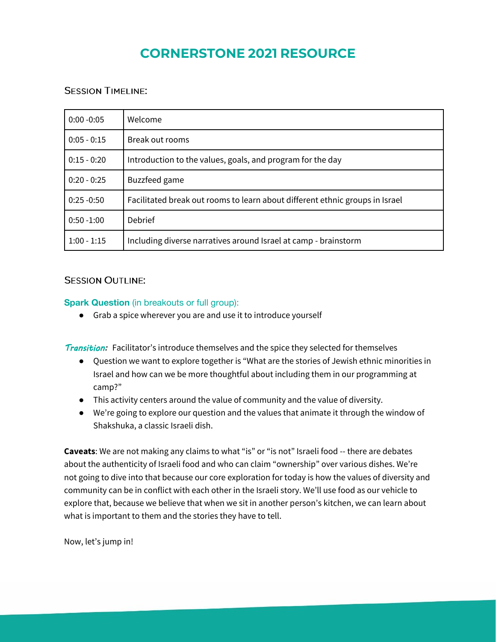### **SESSION TIMELINE:**

| $0:00 - 0:05$ | Welcome                                                                      |
|---------------|------------------------------------------------------------------------------|
| $0:05 - 0:15$ | Break out rooms                                                              |
| $0:15 - 0:20$ | Introduction to the values, goals, and program for the day                   |
| $0:20 - 0:25$ | Buzzfeed game                                                                |
| $0:25 - 0:50$ | Facilitated break out rooms to learn about different ethnic groups in Israel |
| $0:50 - 1:00$ | Debrief                                                                      |
| $1:00 - 1:15$ | Including diverse narratives around Israel at camp - brainstorm              |

### **SESSION OUTLINE:**

### **Spark Question** (in breakouts or full group):

● Grab a spice wherever you are and use it to introduce yourself

**Transition:** Facilitator's introduce themselves and the spice they selected for themselves

- Question we want to explore together is "What are the stories of Jewish ethnic minorities in Israel and how can we be more thoughtful about including them in our programming at camp?"
- This activity centers around the value of community and the value of diversity.
- We're going to explore our question and the values that animate it through the window of Shakshuka, a classic Israeli dish.

**Caveats**: We are not making any claims to what "is" or "is not" Israeli food -- there are debates about the authenticity of Israeli food and who can claim "ownership" over various dishes. We're not going to dive into that because our core exploration for today is how the values of diversity and community can be in conflict with each other in the Israeli story. We'll use food as our vehicle to explore that, because we believe that when we sit in another person's kitchen, we can learn about what is important to them and the stories they have to tell.

Now, let's jump in!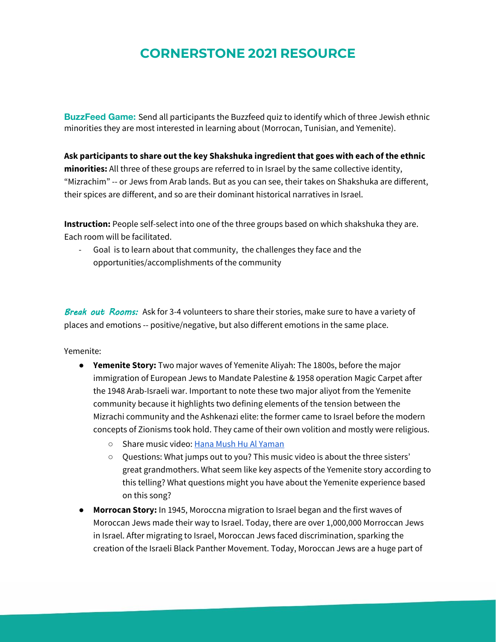**BuzzFeed Game:** Send all participants the [Buzzfeed quiz t](https://www.buzzfeed.com/juliabessen/which-shakshuka-are-you-30fkz1js8v)o identify which of three Jewish ethnic minorities they are most interested in learning about (Morrocan, Tunisian, and Yemenite).

**Ask participants to share out the key Shakshuka ingredient that goes with each of the ethnic minorities:** All three of these groups are referred to in Israel by the same collective identity, "Mizrachim" -- or Jews from Arab lands. But as you can see, their takes on Shakshuka are different, their spices are different, and so are their dominant historical narratives in Israel.

**Instruction:** People self-select into one of the three groups based on which shakshuka they are. Each room will be facilitated.

Goal is to learn about that community, the challenges they face and the opportunities/accomplishments of the community

Break out Rooms: Ask for 3-4 volunteers to share their stories, make sure to have a variety of places and emotions -- positive/negative, but also different emotions in the same place.

Yemenite:

- **Yemenite Story:** Two major waves of Yemenite Aliyah: The 1800s, before the major immigration of European Jews to Mandate Palestine & 1958 operation Magic Carpet after the 1948 Arab-Israeli war. Important to note these two major aliyot from the Yemenite community because it highlights two defining elements of the tension between the Mizrachi community and the Ashkenazi elite: the former came to Israel before the modern concepts of Zionisms took hold. They came of their own volition and mostly were religious.
	- Share music video: [Hana Mush Hu Al Yaman](https://www.youtube.com/watch?v=iD90UbVXZSE)
	- Questions: What jumps out to you? This music video is about the three sisters' great grandmothers. What seem like key aspects of the Yemenite story according to this telling? What questions might you have about the Yemenite experience based on this song?
- **Morrocan Story:** In 1945, Moroccna migration to Israel began and the first waves of Moroccan Jews made their way to Israel. Today, there are over 1,000,000 Morroccan Jews in Israel. After migrating to Israel, Moroccan Jews faced discrimination, sparking the creation of the Israeli Black Panther Movement. Today, Moroccan Jews are a huge part of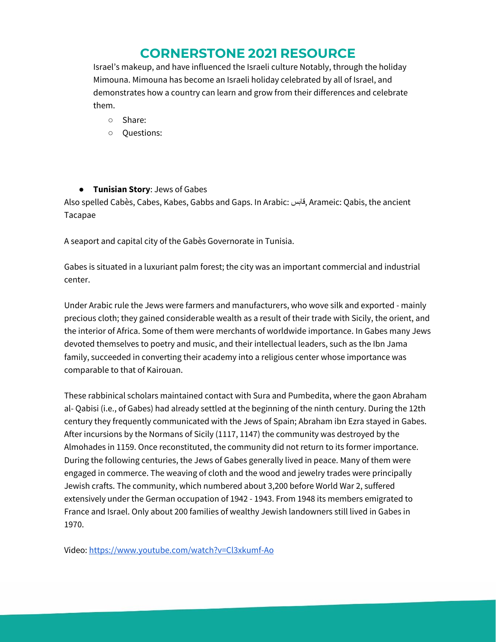Israel's makeup, and have influenced the Israeli culture Notably, through the holiday Mimouna. Mimouna has become an Israeli holiday celebrated by all of Israel, and demonstrates how a country can learn and grow from their differences and celebrate them.

- Share:
- Questions:

### ● **Tunisian Story**: Jews of Gabes

Also spelled Cabès, Cabes, Kabes, Gabbs and Gaps. In Arabic: قابس, Arameic: Qabis, the ancient Tacapae

A seaport and capital city of the Gabès Governorate in Tunisia.

Gabes is situated in a luxuriant palm forest; the city was an important commercial and industrial center.

Under Arabic rule the Jews were farmers and manufacturers, who wove silk and exported - mainly precious cloth; they gained considerable wealth as a result of their trade with Sicily, the orient, and the interior of Africa. Some of them were merchants of worldwide importance. In Gabes many Jews devoted themselves to poetry and music, and their intellectual leaders, such as the Ibn Jama family, succeeded in converting their academy into a religious center whose importance was comparable to that of Kairouan.

These rabbinical scholars maintained contact with Sura and Pumbedita, where the gaon Abraham al- Qabisi (i.e., of Gabes) had already settled at the beginning of the ninth century. During the 12th century they frequently communicated with the Jews of Spain; Abraham ibn Ezra stayed in Gabes. After incursions by the Normans of Sicily (1117, 1147) the community was destroyed by the Almohades in 1159. Once reconstituted, the community did not return to its former importance. During the following centuries, the Jews of Gabes generally lived in peace. Many of them were engaged in commerce. The weaving of cloth and the wood and jewelry trades were principally Jewish crafts. The community, which numbered about 3,200 before World War 2, suffered extensively under the German occupation of 1942 - 1943. From 1948 its members emigrated to France and Israel. Only about 200 families of wealthy Jewish landowners still lived in Gabes in 1970.

[Video: https://www.youtube.com/watch?v=Cl3xkumf-Ao](https://youtu.be/Cl3xkumf-Ao)